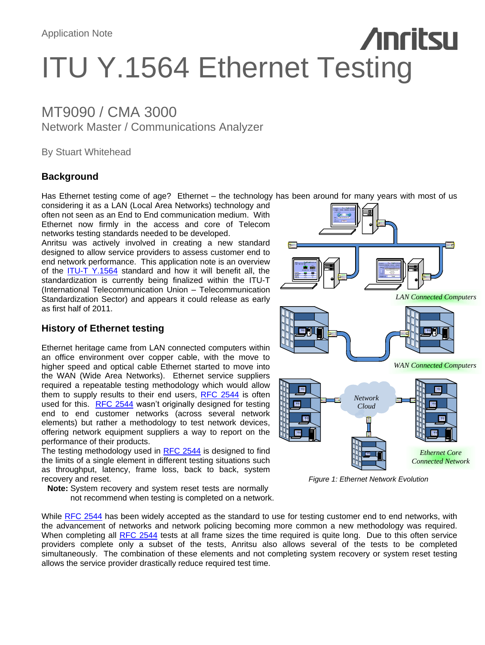# **Anritsu** ITU Y.1564 Ethernet Testing

## MT9090 / CMA 3000 Network Master / Communications Analyzer

By Stuart Whitehead

### **Background**

Has Ethernet testing come of age? Ethernet – the technology has been around for many years with most of us

considering it as a LAN (Local Area Networks) technology and often not seen as an End to End communication medium. With Ethernet now firmly in the access and core of Telecom networks testing standards needed to be developed.

Anritsu was actively involved in creating a new standard designed to allow service providers to assess customer end to end network performance. This application note is an overview of the [ITU-T Y.1564](#page-4-0) standard and how it will benefit all, the standardization is currently being finalized within the ITU-T (International Telecommunication Union – Telecommunication Standardization Sector) and appears it could release as early as first half of 2011.

### **History of Ethernet testing**

Ethernet heritage came from LAN connected computers within an office environment over copper cable, with the move to higher speed and optical cable Ethernet started to move into the WAN (Wide Area Networks). Ethernet service suppliers required a repeatable testing methodology which would allow them to supply results to their end users, [RFC 2544](#page-4-0) is often used for this. [RFC 2544](#page-4-0) wasn't originally designed for testing end to end customer networks (across several network elements) but rather a methodology to test network devices, offering network equipment suppliers a way to report on the performance of their products.

The testing methodology used in [RFC 2544](#page-4-0) is designed to find the limits of a single element in different testing situations such as throughput, latency, frame loss, back to back, system recovery and reset.

**Note:** System recovery and system reset tests are normally not recommend when testing is completed on a network.



*Figure 1: Ethernet Network Evolution*

While [RFC 2544](#page-4-0) has been widely accepted as the standard to use for testing customer end to end networks, with the advancement of networks and network policing becoming more common a new methodology was required. When completing all [RFC 2544](#page-4-0) tests at all frame sizes the time required is quite long. Due to this often service providers complete only a subset of the tests, Anritsu also allows several of the tests to be completed simultaneously. The combination of these elements and not completing system recovery or system reset testing allows the service provider drastically reduce required test time.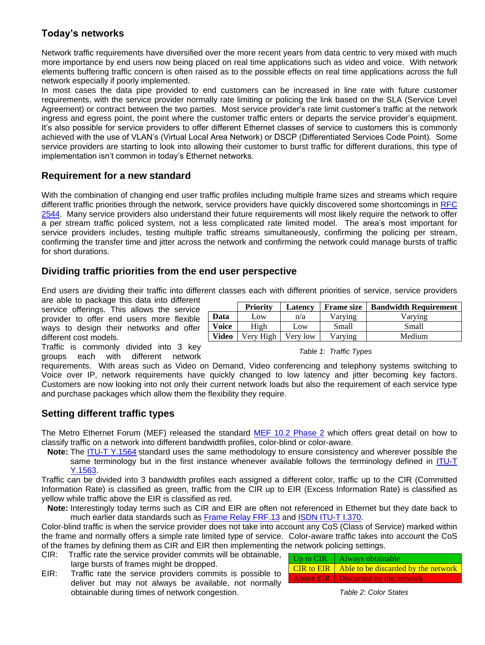### **Today's networks**

Network traffic requirements have diversified over the more recent years from data centric to very mixed with much more importance by end users now being placed on real time applications such as video and voice. With network elements buffering traffic concern is often raised as to the possible effects on real time applications across the full network especially if poorly implemented.

In most cases the data pipe provided to end customers can be increased in line rate with future customer requirements, with the service provider normally rate limiting or policing the link based on the SLA (Service Level Agreement) or contract between the two parties. Most service provider's rate limit customer's traffic at the network ingress and egress point, the point where the customer traffic enters or departs the service provider's equipment. It's also possible for service providers to offer different Ethernet classes of service to customers this is commonly achieved with the use of VLAN's (Virtual Local Area Network) or DSCP (Differentiated Services Code Point). Some service providers are starting to look into allowing their customer to burst traffic for different durations, this type of implementation isn't common in today's Ethernet networks.

### **Requirement for a new standard**

With the combination of changing end user traffic profiles including multiple frame sizes and streams which require different traffic priorities through the network, service providers have quickly discovered some shortcomings in RFC [2544.](#page-4-0) Many service providers also understand their future requirements will most likely require the network to offer a per stream traffic policed system, not a less complicated rate limited model. The area's most important for service providers includes, testing multiple traffic streams simultaneously, confirming the policing per stream, confirming the transfer time and jitter across the network and confirming the network could manage bursts of traffic for short durations.

### **Dividing traffic priorities from the end user perspective**

End users are dividing their traffic into different classes each with different priorities of service, service providers

are able to package this data into different service offerings. This allows the service provider to offer end users ways to design their networks different cost models.

Traffic is commonly divide groups each with different different network

| more flexible<br>orks and offer  | Data         | Low       | n/a      | Varving                | Varving |
|----------------------------------|--------------|-----------|----------|------------------------|---------|
|                                  | Voice        | High      | Low      | Small                  | Small   |
|                                  | <b>Video</b> | Very High | Very low | Varving                | Medium  |
| d into 3 key<br>:rent<br>network |              |           |          | Table 1: Traffic Types |         |

**Priority Latency Frame size Bandwidth Requirement**

requirements. With areas such as Video on Demand, Video conferencing and telephony systems switching to Voice over IP, network requirements have quickly changed to low latency and jitter becoming key factors. Customers are now looking into not only their current network loads but also the requirement of each service type and purchase packages which allow them the flexibility they require.

### **Setting different traffic types**

The Metro Ethernet Forum (MEF) released the standard [MEF 10.2 Phase 2](#page-4-0) which offers great detail on how to classify traffic on a network into different bandwidth profiles, color-blind or color-aware.

**Note:** The [ITU-T Y.1564](#page-4-0) standard uses the same methodology to ensure consistency and wherever possible the same terminology but in the first instance whenever available follows the terminology defined in ITU-T [Y.1563.](#page-4-0)

Traffic can be divided into 3 bandwidth profiles each assigned a different color, traffic up to the CIR (Committed Information Rate) is classified as green, traffic from the CIR up to EIR (Excess Information Rate) is classified as yellow while traffic above the EIR is classified as red.

**Note:** Interestingly today terms such as CIR and EIR are often not referenced in Ethernet but they date back to much earlier data standards such as [Frame Relay](#page-4-0) FRF.13 and [ISDN ITU-T I.370.](#page-4-0)

Color-blind traffic is when the service provider does not take into account any CoS (Class of Service) marked within the frame and normally offers a simple rate limited type of service. Color-aware traffic takes into account the CoS of the frames by defining them as CIR and EIR then implementing the network policing settings.

- CIR: Traffic rate the service provider commits will be obtainable, large bursts of frames might be dropped.
- EIR: Traffic rate the service providers commits is possible to deliver but may not always be available, not normally obtainable during times of network congestion.

| Up to $CIR$   Always obtainable                         |
|---------------------------------------------------------|
| <b>CIR to EIR</b>   Able to be discarded by the network |
| Above EIR   Discarded by the network                    |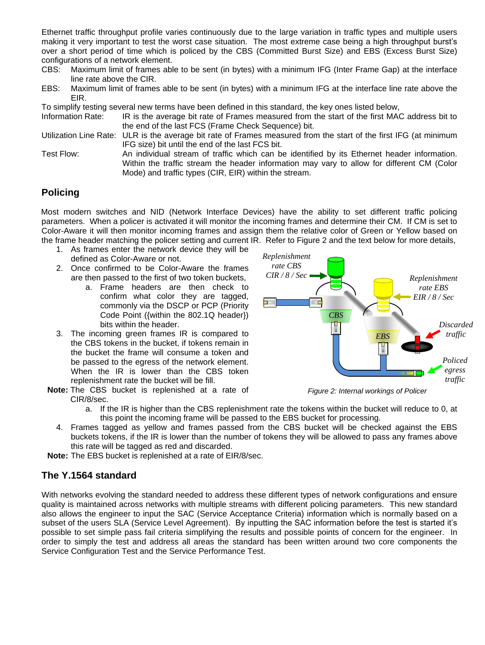Ethernet traffic throughput profile varies continuously due to the large variation in traffic types and multiple users making it very important to test the worst case situation. The most extreme case being a high throughput burst's over a short period of time which is policed by the CBS (Committed Burst Size) and EBS (Excess Burst Size) configurations of a network element.

- CBS: Maximum limit of frames able to be sent (in bytes) with a minimum IFG (Inter Frame Gap) at the interface line rate above the CIR.
- EBS: Maximum limit of frames able to be sent (in bytes) with a minimum IFG at the interface line rate above the EIR.

To simplify testing several new terms have been defined in this standard, the key ones listed below,

Information Rate: IR is the average bit rate of Frames measured from the start of the first MAC address bit to the end of the last FCS (Frame Check Sequence) bit.

Utilization Line Rate: ULR is the average bit rate of Frames measured from the start of the first IFG (at minimum IFG size) bit until the end of the last FCS bit.

Test Flow: An individual stream of traffic which can be identified by its Ethernet header information. Within the traffic stream the header information may vary to allow for different CM (Color Mode) and traffic types (CIR, EIR) within the stream.

### **Policing**

Most modern switches and NID (Network Interface Devices) have the ability to set different traffic policing parameters. When a policer is activated it will monitor the incoming frames and determine their CM. If CM is set to Color-Aware it will then monitor incoming frames and assign them the relative color of Green or Yellow based on the frame header matching the policer setting and current IR. Refer to Figure 2 and the text below for more details,

- 1. As frames enter the network device they will be defined as Color-Aware or not.
- 2. Once confirmed to be Color-Aware the frames are then passed to the first of two token buckets,
	- a. Frame headers are then check to confirm what color they are tagged, commonly via the DSCP or PCP (Priority Code Point ({within the 802.1Q header}) bits within the header.
- 3. The incoming green frames IR is compared to the CBS tokens in the bucket, if tokens remain in the bucket the frame will consume a token and be passed to the egress of the network element. When the IR is lower than the CBS token replenishment rate the bucket will be fill.
- **Note:** The CBS bucket is replenished at a rate of CIR/8/sec.



*Figure 2: Internal workings of Policer*

- a. If the IR is higher than the CBS replenishment rate the tokens within the bucket will reduce to 0, at this point the incoming frame will be passed to the EBS bucket for processing.
- 4. Frames tagged as yellow and frames passed from the CBS bucket will be checked against the EBS buckets tokens, if the IR is lower than the number of tokens they will be allowed to pass any frames above this rate will be tagged as red and discarded.

**Note:** The EBS bucket is replenished at a rate of EIR/8/sec.

### **The Y.1564 standard**

With networks evolving the standard needed to address these different types of network configurations and ensure quality is maintained across networks with multiple streams with different policing parameters. This new standard also allows the engineer to input the SAC (Service Acceptance Criteria) information which is normally based on a subset of the users SLA (Service Level Agreement). By inputting the SAC information before the test is started it's possible to set simple pass fail criteria simplifying the results and possible points of concern for the engineer. In order to simply the test and address all areas the standard has been written around two core components the Service Configuration Test and the Service Performance Test.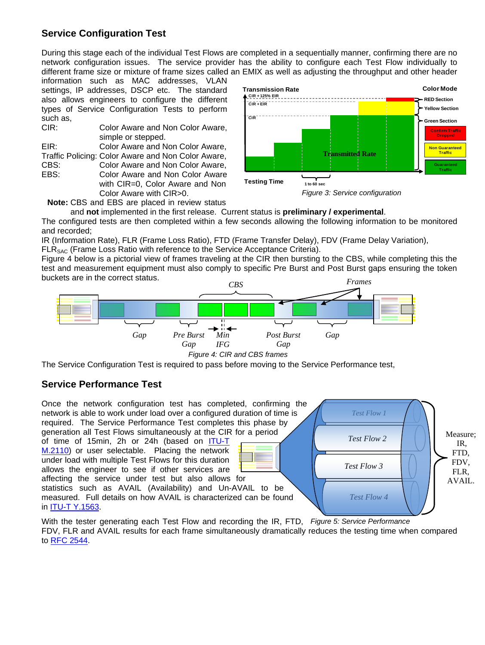### **Service Configuration Test**

During this stage each of the individual Test Flows are completed in a sequentially manner, confirming there are no network configuration issues. The service provider has the ability to configure each Test Flow individually to different frame size or mixture of frame sizes called an EMIX as well as adjusting the throughput and other header

information such as MAC addresses, VLAN settings, IP addresses, DSCP etc. The standard also allows engineers to configure the different types of Service Configuration Tests to perform such as,

| CIR: | Color Aware and Non Color Aware,                   |
|------|----------------------------------------------------|
|      | simple or stepped.                                 |
| EIR: | Color Aware and Non Color Aware,                   |
|      | Traffic Policing: Color Aware and Non Color Aware, |
| CBS: | Color Aware and Non Color Aware,                   |
| EBS: | Color Aware and Non Color Aware                    |
|      | with CIR=0, Color Aware and Non                    |
|      | Color Aware with CIR>0.                            |
|      |                                                    |





**Note:** CBS and EBS are placed in review status

and **not** implemented in the first release. Current status is **preliminary / experimental**.

The configured tests are then completed within a few seconds allowing the following information to be monitored and recorded;

IR (Information Rate), FLR (Frame Loss Ratio), FTD (Frame Transfer Delay), FDV (Frame Delay Variation), FLR<sub>SAC</sub> (Frame Loss Ratio with reference to the Service Acceptance Criteria).

Figure 4 below is a pictorial view of frames traveling at the CIR then bursting to the CBS, while completing this the test and measurement equipment must also comply to specific Pre Burst and Post Burst gaps ensuring the token buckets are in the correct status.



The Service Configuration Test is required to pass before moving to the Service Performance test,

### **Service Performance Test**



With the tester generating each Test Flow and recording the IR, FTD, *Figure 5: Service Performance*  FDV, FLR and AVAIL results for each frame simultaneously dramatically reduces the testing time when compared to [RFC 2544.](#page-4-0)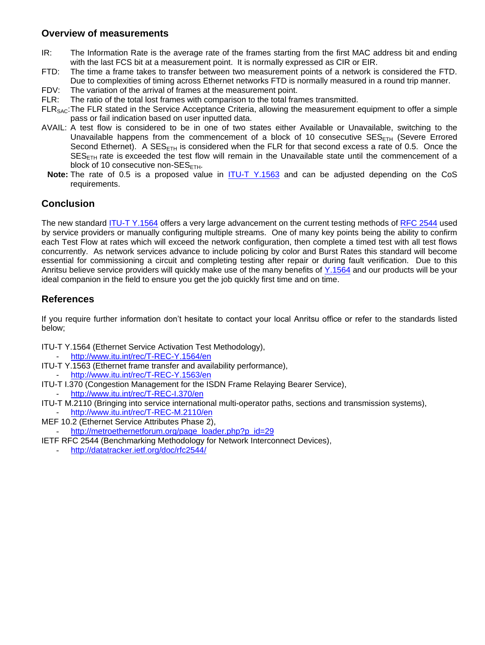### **Overview of measurements**

- IR: The Information Rate is the average rate of the frames starting from the first MAC address bit and ending with the last FCS bit at a measurement point. It is normally expressed as CIR or EIR.
- FTD: The time a frame takes to transfer between two measurement points of a network is considered the FTD.
- Due to complexities of timing across Ethernet networks FTD is normally measured in a round trip manner.
- FDV: The variation of the arrival of frames at the measurement point.
- FLR: The ratio of the total lost frames with comparison to the total frames transmitted.
- FLR<sub>SAC</sub>: The FLR stated in the Service Acceptance Criteria, allowing the measurement equipment to offer a simple pass or fail indication based on user inputted data.
- AVAIL: A test flow is considered to be in one of two states either Available or Unavailable, switching to the Unavailable happens from the commencement of a block of 10 consecutive  $SE_{\text{FTH}}$  (Severe Errored Second Ethernet). A SES<sub>ETH</sub> is considered when the FLR for that second excess a rate of 0.5. Once the  $SES<sub>ETH</sub>$  rate is exceeded the test flow will remain in the Unavailable state until the commencement of a block of 10 consecutive non- $SES_{FTH}$ .
- Note: The rate of 0.5 is a proposed value in **[ITU-T Y.1563](#page-4-0)** and can be adjusted depending on the CoS requirements.

### **Conclusion**

The new standard [ITU-T Y.1564](#page-4-0) offers a very large advancement on the current testing methods of [RFC 2544](#page-4-0) used by service providers or manually configuring multiple streams. One of many key points being the ability to confirm each Test Flow at rates which will exceed the network configuration, then complete a timed test with all test flows concurrently. As network services advance to include policing by color and Burst Rates this standard will become essential for commissioning a circuit and completing testing after repair or during fault verification. Due to this Anritsu believe service providers will quickly make use of the many benefits of [Y.1564](#page-4-0) and our products will be your ideal companion in the field to ensure you get the job quickly first time and on time.

### <span id="page-4-0"></span>**References**

If you require further information don't hesitate to contact your local Anritsu office or refer to the standards listed below;

ITU-T Y.1564 (Ethernet Service Activation Test Methodology),

- <http://www.itu.int/rec/T-REC-Y.1564/en>
- ITU-T Y.1563 (Ethernet frame transfer and availability performance), <http://www.itu.int/rec/T-REC-Y.1563/en>
- ITU-T I.370 (Congestion Management for the ISDN Frame Relaying Bearer Service),
	- <http://www.itu.int/rec/T-REC-I.370/en>
- ITU-T M.2110 (Bringing into service international multi-operator paths, sections and transmission systems), - <http://www.itu.int/rec/T-REC-M.2110/en>
- MEF 10.2 (Ethernet Service Attributes Phase 2),
- [http://metroethernetforum.org/page\\_loader.php?p\\_id=29](http://metroethernetforum.org/page_loader.php?p_id=29)
- IETF RFC 2544 (Benchmarking Methodology for Network Interconnect Devices),
	- <http://datatracker.ietf.org/doc/rfc2544/>